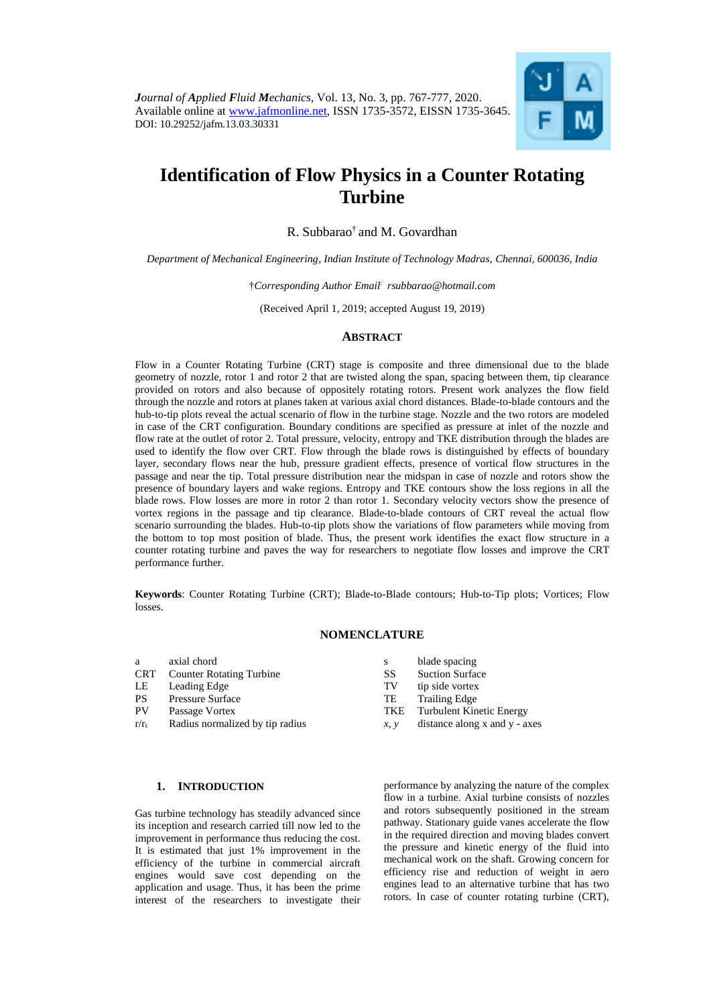

# **Identification of Flow Physics in a Counter Rotating Turbine**

R. Subbarao† and M. Govardhan

*Department of Mechanical Engineering, Indian Institute of Technology Madras, Chennai, 600036, India*

†*Corresponding Author Email: [rsubbarao@hotmail.com](mailto:rsubbarao@hotmail.com)*

(Received April 1, 2019; accepted August 19, 2019)

## **ABSTRACT**

Flow in a Counter Rotating Turbine (CRT) stage is composite and three dimensional due to the blade geometry of nozzle, rotor 1 and rotor 2 that are twisted along the span, spacing between them, tip clearance provided on rotors and also because of oppositely rotating rotors. Present work analyzes the flow field through the nozzle and rotors at planes taken at various axial chord distances. Blade-to-blade contours and the hub-to-tip plots reveal the actual scenario of flow in the turbine stage. Nozzle and the two rotors are modeled in case of the CRT configuration. Boundary conditions are specified as pressure at inlet of the nozzle and flow rate at the outlet of rotor 2. Total pressure, velocity, entropy and TKE distribution through the blades are used to identify the flow over CRT. Flow through the blade rows is distinguished by effects of boundary layer, secondary flows near the hub, pressure gradient effects, presence of vortical flow structures in the passage and near the tip. Total pressure distribution near the midspan in case of nozzle and rotors show the presence of boundary layers and wake regions. Entropy and TKE contours show the loss regions in all the blade rows. Flow losses are more in rotor 2 than rotor 1. Secondary velocity vectors show the presence of vortex regions in the passage and tip clearance. Blade-to-blade contours of CRT reveal the actual flow scenario surrounding the blades. Hub-to-tip plots show the variations of flow parameters while moving from the bottom to top most position of blade. Thus, the present work identifies the exact flow structure in a counter rotating turbine and paves the way for researchers to negotiate flow losses and improve the CRT performance further.

**Keywords**: Counter Rotating Turbine (CRT); Blade-to-Blade contours; Hub-to-Tip plots; Vortices; Flow losses.

## **NOMENCLATURE**

s blade spacing<br>SS Suction Surface Suction Surface TV tip side vortex TE Trailing Edge

TKE Turbulent Kinetic Energy *x, y* distance along x and y - axes

- a axial chord<br>CRT Counter Ro
- Counter Rotating Turbine
- LE Leading Edge
- PS Pressure Surface
- PV Passage Vortex
- $r/r_t$  Radius normalized by tip radius

## **1. INTRODUCTION**

Gas turbine technology has steadily advanced since its inception and research carried till now led to the improvement in performance thus reducing the cost. It is estimated that just 1% improvement in the efficiency of the turbine in commercial aircraft engines would save cost depending on the application and usage. Thus, it has been the prime interest of the researchers to investigate their

performance by analyzing the nature of the complex flow in a turbine. Axial turbine consists of nozzles and rotors subsequently positioned in the stream pathway. Stationary guide vanes accelerate the flow in the required direction and moving blades convert the pressure and kinetic energy of the fluid into mechanical work on the shaft. Growing concern for efficiency rise and reduction of weight in aero engines lead to an alternative turbine that has two rotors. In case of counter rotating turbine (CRT),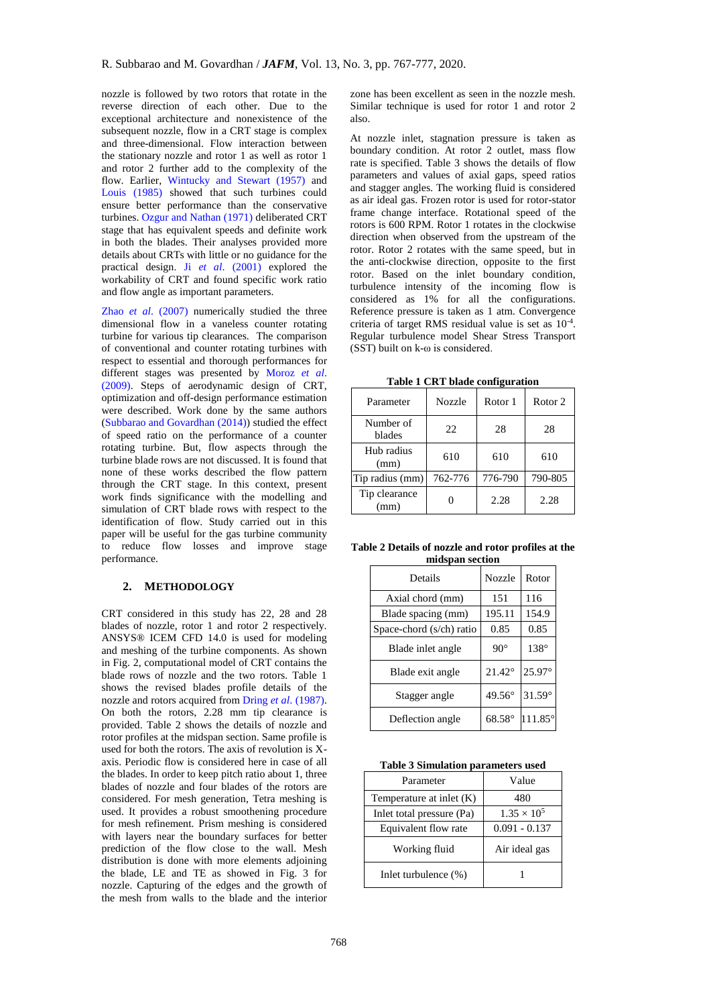nozzle is followed by two rotors that rotate in the reverse direction of each other. Due to the exceptional architecture and nonexistence of the subsequent nozzle, flow in a CRT stage is complex and three-dimensional. Flow interaction between the stationary nozzle and rotor 1 as well as rotor 1 and rotor 2 further add to the complexity of the flow. Earlier, [Wintucky and Stewart \(1957\)](#page-10-0) and [Louis \(1985\)](#page-10-1) showed that such turbines could ensure better performance than the conservative turbines[. Ozgur and Nathan \(1971\)](#page-10-2) deliberated CRT stage that has equivalent speeds and definite work in both the blades. Their analyses provided more details about CRTs with little or no guidance for the practical design. Ji *et al*[. \(2001\)](#page-10-3) explored the workability of CRT and found specific work ratio and flow angle as important parameters.

Zhao *et al*[. \(2007\)](#page-10-4) numerically studied the three dimensional flow in a vaneless counter rotating turbine for various tip clearances. The comparison of conventional and counter rotating turbines with respect to essential and thorough performances for different stages was presented by [Moroz](#page-10-5) *et al*. [\(2009\).](#page-10-5) Steps of aerodynamic design of CRT, optimization and off-design performance estimation were described. Work done by the same authors [\(Subbarao and Govardhan \(2014\)\)](#page-10-6) studied the effect of speed ratio on the performance of a counter rotating turbine. But, flow aspects through the turbine blade rows are not discussed. It is found that none of these works described the flow pattern through the CRT stage. In this context, present work finds significance with the modelling and simulation of CRT blade rows with respect to the identification of flow. Study carried out in this paper will be useful for the gas turbine community to reduce flow losses and improve stage performance.

# **2. METHODOLOGY**

CRT considered in this study has 22, 28 and 28 blades of nozzle, rotor 1 and rotor 2 respectively. ANSYS® ICEM CFD 14.0 is used for modeling and meshing of the turbine components. As shown in Fig. 2, computational model of CRT contains the blade rows of nozzle and the two rotors. Table 1 shows the revised blades profile details of the nozzle and rotors acquired from Dring *et al*[. \(1987\).](#page-10-7) On both the rotors, 2.28 mm tip clearance is provided. Table 2 shows the details of nozzle and rotor profiles at the midspan section. Same profile is used for both the rotors. The axis of revolution is Xaxis. Periodic flow is considered here in case of all the blades. In order to keep pitch ratio about 1, three blades of nozzle and four blades of the rotors are considered. For mesh generation, Tetra meshing is used. It provides a robust smoothening procedure for mesh refinement. Prism meshing is considered with layers near the boundary surfaces for better prediction of the flow close to the wall. Mesh distribution is done with more elements adjoining the blade, LE and TE as showed in Fig. 3 for nozzle. Capturing of the edges and the growth of the mesh from walls to the blade and the interior

zone has been excellent as seen in the nozzle mesh. Similar technique is used for rotor 1 and rotor 2 also.

At nozzle inlet, stagnation pressure is taken as boundary condition. At rotor 2 outlet, mass flow rate is specified. Table 3 shows the details of flow parameters and values of axial gaps, speed ratios and stagger angles. The working fluid is considered as air ideal gas. Frozen rotor is used for rotor-stator frame change interface. Rotational speed of the rotors is 600 RPM. Rotor 1 rotates in the clockwise direction when observed from the upstream of the rotor. Rotor 2 rotates with the same speed, but in the anti-clockwise direction, opposite to the first rotor. Based on the inlet boundary condition, turbulence intensity of the incoming flow is considered as 1% for all the configurations. Reference pressure is taken as 1 atm. Convergence criteria of target RMS residual value is set as 10-4 . Regular turbulence model Shear Stress Transport (SST) built on k-ω is considered.

**Table 1 CRT blade configuration** 

| Parameter             | <b>Nozzle</b> | Rotor 1 | Rotor <sub>2</sub> |
|-----------------------|---------------|---------|--------------------|
| Number of<br>blades   | 22            | 28      | 28                 |
| Hub radius<br>(mm)    | 610           | 610     | 610                |
| Tip radius (mm)       | 762-776       | 776-790 | 790-805            |
| Tip clearance<br>(mm) |               | 2.28    | 2.28               |

| Table 2 Details of nozzle and rotor profiles at the |  |  |  |  |
|-----------------------------------------------------|--|--|--|--|
| midspan section                                     |  |  |  |  |

| Details                  | <b>Nozzle</b>   | Rotor            |
|--------------------------|-----------------|------------------|
| Axial chord (mm)         | 151             | 116              |
| Blade spacing (mm)       | 195.11          | 154.9            |
| Space-chord (s/ch) ratio | 0.85            | 0.85             |
| Blade inlet angle        | $90^\circ$      | $138^\circ$      |
| Blade exit angle         | $21.42^{\circ}$ | 25.97°           |
| Stagger angle            | $49.56^\circ$   | $31.59^\circ$    |
| Deflection angle         | $68.58^{\circ}$ | $111.85^{\circ}$ |

| <b>Table 3 Simulation parameters used</b> |  |
|-------------------------------------------|--|
|-------------------------------------------|--|

| Parameter                  | Value                |  |
|----------------------------|----------------------|--|
| Temperature at inlet $(K)$ | 480                  |  |
| Inlet total pressure (Pa)  | $1.35 \times 10^{5}$ |  |
| Equivalent flow rate       | $0.091 - 0.137$      |  |
| Working fluid              | Air ideal gas        |  |
| Inlet turbulence (%)       |                      |  |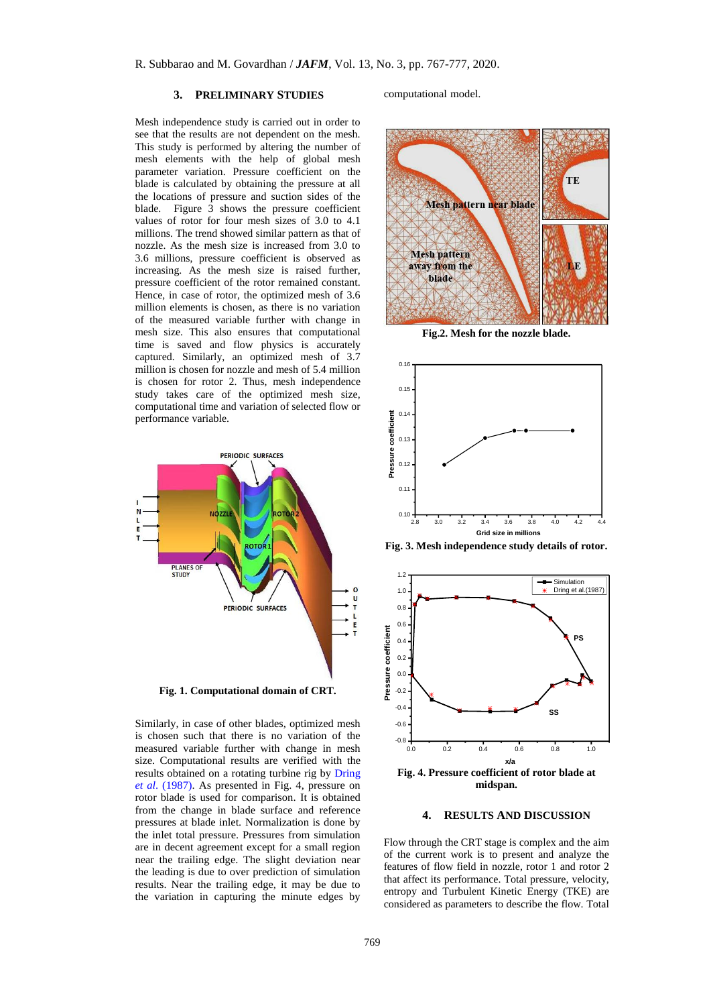#### **3. PRELIMINARY STUDIES**

Mesh independence study is carried out in order to see that the results are not dependent on the mesh. This study is performed by altering the number of mesh elements with the help of global mesh parameter variation. Pressure coefficient on the blade is calculated by obtaining the pressure at all the locations of pressure and suction sides of the blade. Figure 3 shows the pressure coefficient values of rotor for four mesh sizes of 3.0 to 4.1 millions. The trend showed similar pattern as that of nozzle. As the mesh size is increased from 3.0 to 3.6 millions, pressure coefficient is observed as increasing. As the mesh size is raised further, pressure coefficient of the rotor remained constant. Hence, in case of rotor, the optimized mesh of 3.6 million elements is chosen, as there is no variation of the measured variable further with change in mesh size. This also ensures that computational time is saved and flow physics is accurately captured. Similarly, an optimized mesh of 3.7 million is chosen for nozzle and mesh of 5.4 million is chosen for rotor 2. Thus, mesh independence study takes care of the optimized mesh size, computational time and variation of selected flow or performance variable.



Similarly, in case of other blades, optimized mesh is chosen such that there is no variation of the measured variable further with change in mesh size. Computational results are verified with the results obtained on a rotating turbine rig by [Dring](#page-10-7)  *et al*[. \(1987\).](#page-10-7) As presented in Fig. 4, pressure on rotor blade is used for comparison. It is obtained from the change in blade surface and reference pressures at blade inlet. Normalization is done by the inlet total pressure. Pressures from simulation are in decent agreement except for a small region near the trailing edge. The slight deviation near the leading is due to over prediction of simulation results. Near the trailing edge, it may be due to the variation in capturing the minute edges by

computational model.



**Fig.2. Mesh for the nozzle blade.**



**Fig. 3. Mesh independence study details of rotor.**



**midspan.**

#### **4. RESULTS AND DISCUSSION**

Flow through the CRT stage is complex and the aim of the current work is to present and analyze the features of flow field in nozzle, rotor 1 and rotor 2 that affect its performance. Total pressure, velocity, entropy and Turbulent Kinetic Energy (TKE) are considered as parameters to describe the flow. Total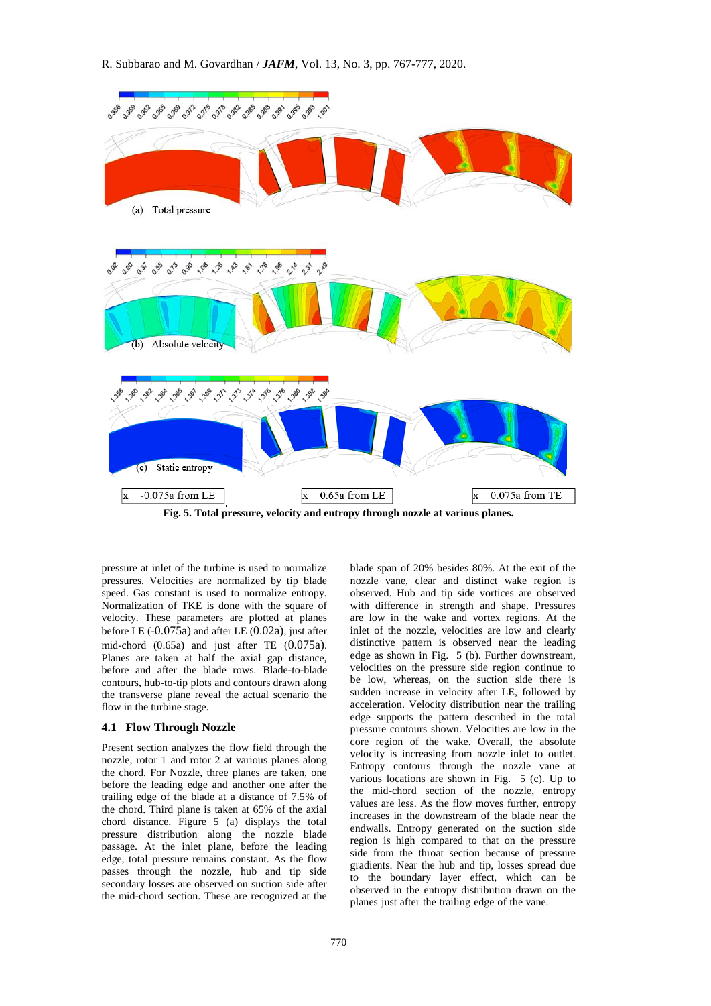

**Fig. 5. Total pressure, velocity and entropy through nozzle at various planes.**

pressure at inlet of the turbine is used to normalize pressures. Velocities are normalized by tip blade speed. Gas constant is used to normalize entropy. Normalization of TKE is done with the square of velocity. These parameters are plotted at planes before LE (-0.075a) and after LE (0.02a), just after mid-chord (0.65a) and just after TE (0.075a). Planes are taken at half the axial gap distance, before and after the blade rows. Blade-to-blade contours, hub-to-tip plots and contours drawn along the transverse plane reveal the actual scenario the flow in the turbine stage.

#### **4.1 Flow Through Nozzle**

Present section analyzes the flow field through the nozzle, rotor 1 and rotor 2 at various planes along the chord. For Nozzle, three planes are taken, one before the leading edge and another one after the trailing edge of the blade at a distance of 7.5% of the chord. Third plane is taken at 65% of the axial chord distance. Figure 5 (a) displays the total pressure distribution along the nozzle blade passage. At the inlet plane, before the leading edge, total pressure remains constant. As the flow passes through the nozzle, hub and tip side secondary losses are observed on suction side after the mid-chord section. These are recognized at the

blade span of 20% besides 80%. At the exit of the nozzle vane, clear and distinct wake region is observed. Hub and tip side vortices are observed with difference in strength and shape. Pressures are low in the wake and vortex regions. At the inlet of the nozzle, velocities are low and clearly distinctive pattern is observed near the leading edge as shown in Fig. 5 (b). Further downstream, velocities on the pressure side region continue to be low, whereas, on the suction side there is sudden increase in velocity after LE, followed by acceleration. Velocity distribution near the trailing edge supports the pattern described in the total pressure contours shown. Velocities are low in the core region of the wake. Overall, the absolute velocity is increasing from nozzle inlet to outlet. Entropy contours through the nozzle vane at various locations are shown in Fig. 5 (c). Up to the mid-chord section of the nozzle, entropy values are less. As the flow moves further, entropy increases in the downstream of the blade near the endwalls. Entropy generated on the suction side region is high compared to that on the pressure side from the throat section because of pressure gradients. Near the hub and tip, losses spread due to the boundary layer effect, which can be observed in the entropy distribution drawn on the planes just after the trailing edge of the vane.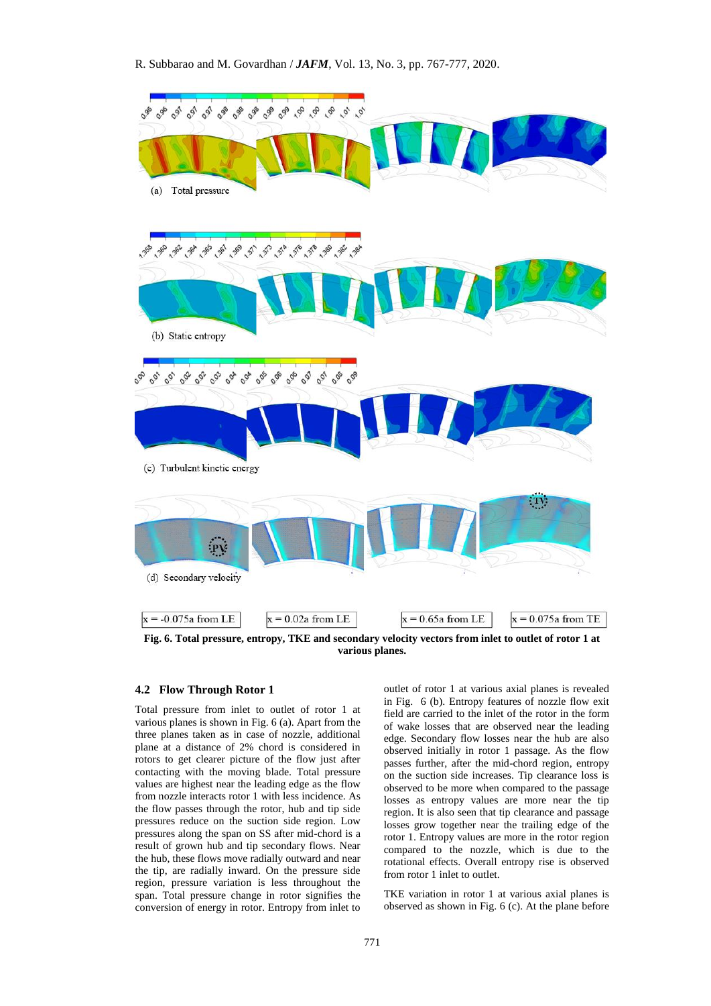

**Fig. 6. Total pressure, entropy, TKE and secondary velocity vectors from inlet to outlet of rotor 1 at various planes.**

#### **4.2 Flow Through Rotor 1**

Total pressure from inlet to outlet of rotor 1 at various planes is shown in Fig. 6 (a). Apart from the three planes taken as in case of nozzle, additional plane at a distance of 2% chord is considered in rotors to get clearer picture of the flow just after contacting with the moving blade. Total pressure values are highest near the leading edge as the flow from nozzle interacts rotor 1 with less incidence. As the flow passes through the rotor, hub and tip side pressures reduce on the suction side region. Low pressures along the span on SS after mid-chord is a result of grown hub and tip secondary flows. Near the hub, these flows move radially outward and near the tip, are radially inward. On the pressure side region, pressure variation is less throughout the span. Total pressure change in rotor signifies the conversion of energy in rotor. Entropy from inlet to

outlet of rotor 1 at various axial planes is revealed in Fig. 6 (b). Entropy features of nozzle flow exit field are carried to the inlet of the rotor in the form of wake losses that are observed near the leading edge. Secondary flow losses near the hub are also observed initially in rotor 1 passage. As the flow passes further, after the mid-chord region, entropy on the suction side increases. Tip clearance loss is observed to be more when compared to the passage losses as entropy values are more near the tip region. It is also seen that tip clearance and passage losses grow together near the trailing edge of the rotor 1. Entropy values are more in the rotor region compared to the nozzle, which is due to the rotational effects. Overall entropy rise is observed from rotor 1 inlet to outlet.

TKE variation in rotor 1 at various axial planes is observed as shown in Fig. 6 (c). At the plane before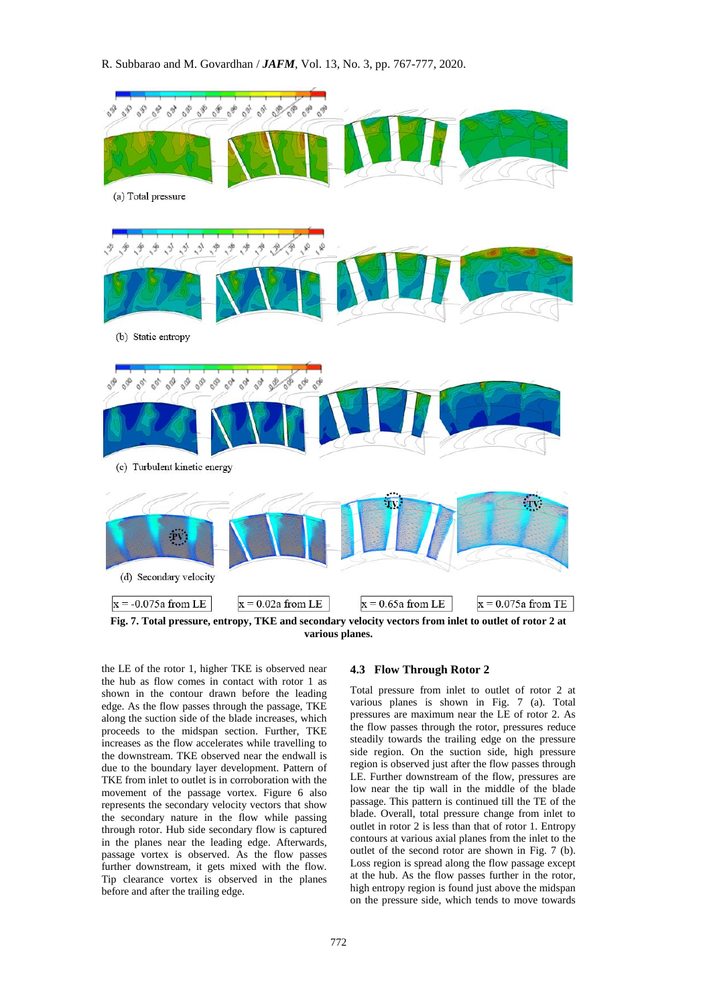R. Subbarao and M. Govardhan / *JAFM*, Vol. 13, No. 3, pp. 767-777, 2020.



**various planes.**

the LE of the rotor 1, higher TKE is observed near the hub as flow comes in contact with rotor 1 as shown in the contour drawn before the leading edge. As the flow passes through the passage, TKE along the suction side of the blade increases, which proceeds to the midspan section. Further, TKE increases as the flow accelerates while travelling to the downstream. TKE observed near the endwall is due to the boundary layer development. Pattern of TKE from inlet to outlet is in corroboration with the movement of the passage vortex. Figure 6 also represents the secondary velocity vectors that show the secondary nature in the flow while passing through rotor. Hub side secondary flow is captured in the planes near the leading edge. Afterwards, passage vortex is observed. As the flow passes further downstream, it gets mixed with the flow. Tip clearance vortex is observed in the planes before and after the trailing edge.

#### **4.3 Flow Through Rotor 2**

Total pressure from inlet to outlet of rotor 2 at various planes is shown in Fig. 7 (a). Total pressures are maximum near the LE of rotor 2. As the flow passes through the rotor, pressures reduce steadily towards the trailing edge on the pressure side region. On the suction side, high pressure region is observed just after the flow passes through LE. Further downstream of the flow, pressures are low near the tip wall in the middle of the blade passage. This pattern is continued till the TE of the blade. Overall, total pressure change from inlet to outlet in rotor 2 is less than that of rotor 1. Entropy contours at various axial planes from the inlet to the outlet of the second rotor are shown in Fig. 7 (b). Loss region is spread along the flow passage except at the hub. As the flow passes further in the rotor, high entropy region is found just above the midspan on the pressure side, which tends to move towards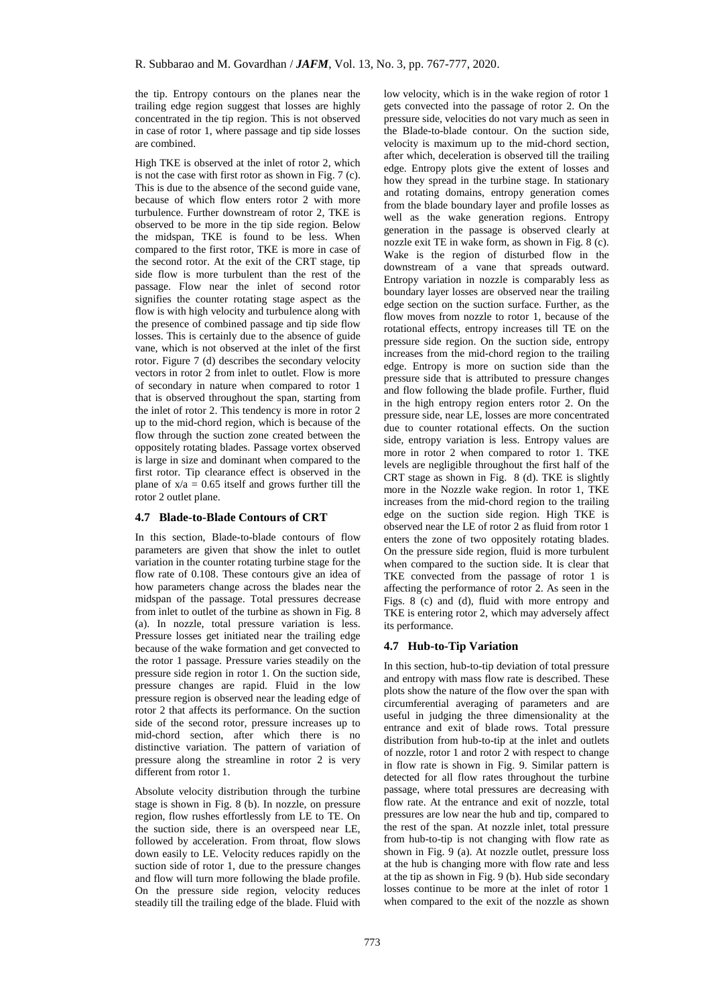the tip. Entropy contours on the planes near the trailing edge region suggest that losses are highly concentrated in the tip region. This is not observed in case of rotor 1, where passage and tip side losses are combined.

High TKE is observed at the inlet of rotor 2, which is not the case with first rotor as shown in Fig. 7 (c). This is due to the absence of the second guide vane, because of which flow enters rotor 2 with more turbulence. Further downstream of rotor 2, TKE is observed to be more in the tip side region. Below the midspan, TKE is found to be less. When compared to the first rotor, TKE is more in case of the second rotor. At the exit of the CRT stage, tip side flow is more turbulent than the rest of the passage. Flow near the inlet of second rotor signifies the counter rotating stage aspect as the flow is with high velocity and turbulence along with the presence of combined passage and tip side flow losses. This is certainly due to the absence of guide vane, which is not observed at the inlet of the first rotor. Figure 7 (d) describes the secondary velocity vectors in rotor 2 from inlet to outlet. Flow is more of secondary in nature when compared to rotor 1 that is observed throughout the span, starting from the inlet of rotor 2. This tendency is more in rotor 2 up to the mid-chord region, which is because of the flow through the suction zone created between the oppositely rotating blades. Passage vortex observed is large in size and dominant when compared to the first rotor. Tip clearance effect is observed in the plane of  $x/a = 0.65$  itself and grows further till the rotor 2 outlet plane.

## **4.7 Blade-to-Blade Contours of CRT**

In this section, Blade-to-blade contours of flow parameters are given that show the inlet to outlet variation in the counter rotating turbine stage for the flow rate of 0.108. These contours give an idea of how parameters change across the blades near the midspan of the passage. Total pressures decrease from inlet to outlet of the turbine as shown in Fig. 8 (a). In nozzle, total pressure variation is less. Pressure losses get initiated near the trailing edge because of the wake formation and get convected to the rotor 1 passage. Pressure varies steadily on the pressure side region in rotor 1. On the suction side, pressure changes are rapid. Fluid in the low pressure region is observed near the leading edge of rotor 2 that affects its performance. On the suction side of the second rotor, pressure increases up to mid-chord section, after which there is no distinctive variation. The pattern of variation of pressure along the streamline in rotor 2 is very different from rotor 1.

Absolute velocity distribution through the turbine stage is shown in Fig. 8 (b). In nozzle, on pressure region, flow rushes effortlessly from LE to TE. On the suction side, there is an overspeed near LE, followed by acceleration. From throat, flow slows down easily to LE. Velocity reduces rapidly on the suction side of rotor 1, due to the pressure changes and flow will turn more following the blade profile. On the pressure side region, velocity reduces steadily till the trailing edge of the blade. Fluid with

low velocity, which is in the wake region of rotor 1 gets convected into the passage of rotor 2. On the pressure side, velocities do not vary much as seen in the Blade-to-blade contour. On the suction side, velocity is maximum up to the mid-chord section, after which, deceleration is observed till the trailing edge. Entropy plots give the extent of losses and how they spread in the turbine stage. In stationary and rotating domains, entropy generation comes from the blade boundary layer and profile losses as well as the wake generation regions. Entropy generation in the passage is observed clearly at nozzle exit TE in wake form, as shown in Fig. 8 (c). Wake is the region of disturbed flow in the downstream of a vane that spreads outward. Entropy variation in nozzle is comparably less as boundary layer losses are observed near the trailing edge section on the suction surface. Further, as the flow moves from nozzle to rotor 1, because of the rotational effects, entropy increases till TE on the pressure side region. On the suction side, entropy increases from the mid-chord region to the trailing edge. Entropy is more on suction side than the pressure side that is attributed to pressure changes and flow following the blade profile. Further, fluid in the high entropy region enters rotor 2. On the pressure side, near LE, losses are more concentrated due to counter rotational effects. On the suction side, entropy variation is less. Entropy values are more in rotor 2 when compared to rotor 1. TKE levels are negligible throughout the first half of the CRT stage as shown in Fig. 8 (d). TKE is slightly more in the Nozzle wake region. In rotor 1, TKE increases from the mid-chord region to the trailing edge on the suction side region. High TKE is observed near the LE of rotor 2 as fluid from rotor 1 enters the zone of two oppositely rotating blades. On the pressure side region, fluid is more turbulent when compared to the suction side. It is clear that TKE convected from the passage of rotor 1 is affecting the performance of rotor 2. As seen in the Figs. 8 (c) and (d), fluid with more entropy and TKE is entering rotor 2, which may adversely affect its performance.

#### **4.7 Hub-to-Tip Variation**

In this section, hub-to-tip deviation of total pressure and entropy with mass flow rate is described. These plots show the nature of the flow over the span with circumferential averaging of parameters and are useful in judging the three dimensionality at the entrance and exit of blade rows. Total pressure distribution from hub-to-tip at the inlet and outlets of nozzle, rotor 1 and rotor 2 with respect to change in flow rate is shown in Fig. 9. Similar pattern is detected for all flow rates throughout the turbine passage, where total pressures are decreasing with flow rate. At the entrance and exit of nozzle, total pressures are low near the hub and tip, compared to the rest of the span. At nozzle inlet, total pressure from hub-to-tip is not changing with flow rate as shown in Fig. 9 (a). At nozzle outlet, pressure loss at the hub is changing more with flow rate and less at the tip as shown in Fig. 9 (b). Hub side secondary losses continue to be more at the inlet of rotor 1 when compared to the exit of the nozzle as shown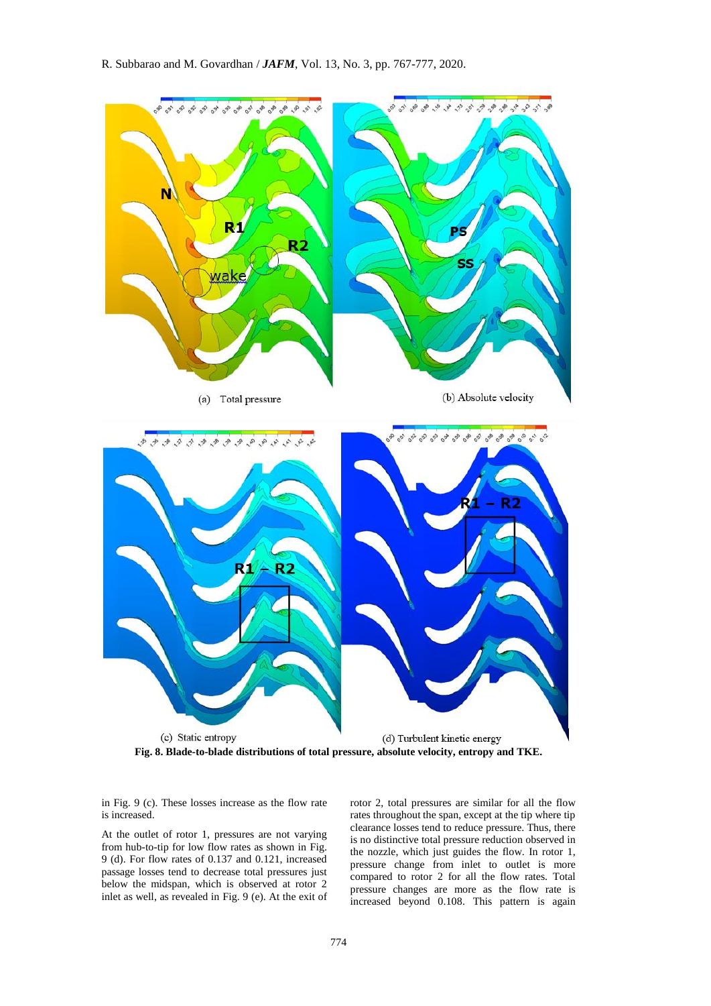

**Fig. 8. Blade-to-blade distributions of total pressure, absolute velocity, entropy and TKE.**

in Fig. 9 (c). These losses increase as the flow rate is increased.

At the outlet of rotor 1, pressures are not varying from hub-to-tip for low flow rates as shown in Fig. 9 (d). For flow rates of 0.137 and 0.121, increased passage losses tend to decrease total pressures just below the midspan, which is observed at rotor 2 inlet as well, as revealed in Fig. 9 (e). At the exit of rotor 2, total pressures are similar for all the flow rates throughout the span, except at the tip where tip clearance losses tend to reduce pressure. Thus, there is no distinctive total pressure reduction observed in the nozzle, which just guides the flow. In rotor 1, pressure change from inlet to outlet is more compared to rotor 2 for all the flow rates. Total pressure changes are more as the flow rate is increased beyond 0.108. This pattern is again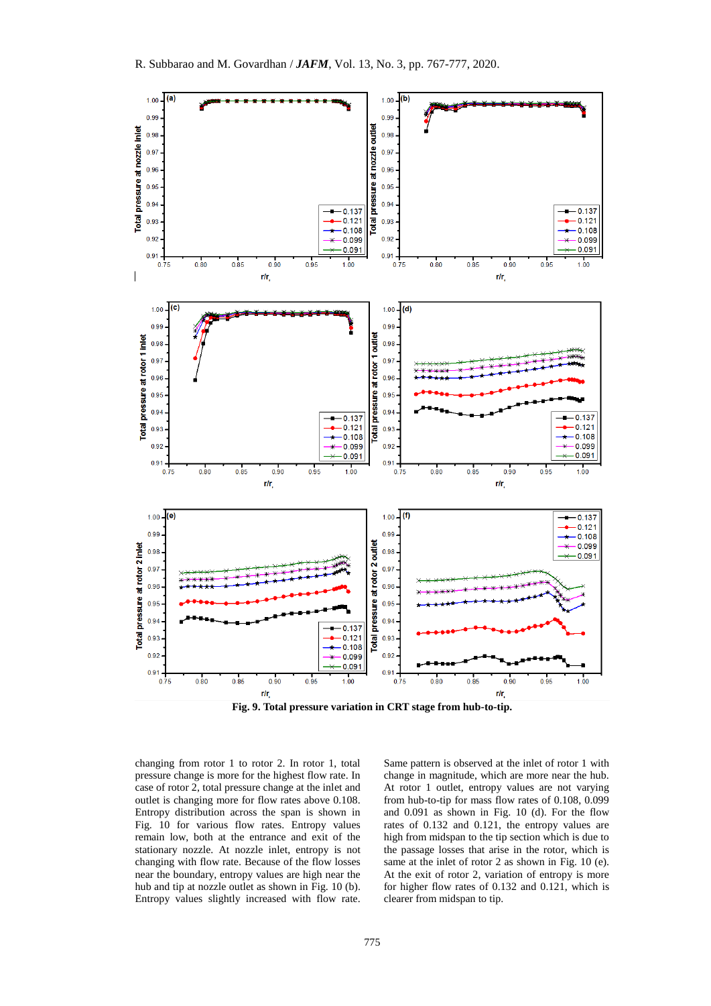

**Fig. 9. Total pressure variation in CRT stage from hub-to-tip.**

changing from rotor 1 to rotor 2. In rotor 1, total pressure change is more for the highest flow rate. In case of rotor 2, total pressure change at the inlet and outlet is changing more for flow rates above 0.108. Entropy distribution across the span is shown in Fig. 10 for various flow rates. Entropy values remain low, both at the entrance and exit of the stationary nozzle. At nozzle inlet, entropy is not changing with flow rate. Because of the flow losses near the boundary, entropy values are high near the hub and tip at nozzle outlet as shown in Fig. 10 (b). Entropy values slightly increased with flow rate.

Same pattern is observed at the inlet of rotor 1 with change in magnitude, which are more near the hub. At rotor 1 outlet, entropy values are not varying from hub-to-tip for mass flow rates of 0.108, 0.099 and 0.091 as shown in Fig. 10 (d). For the flow rates of 0.132 and 0.121, the entropy values are high from midspan to the tip section which is due to the passage losses that arise in the rotor, which is same at the inlet of rotor 2 as shown in Fig. 10 (e). At the exit of rotor 2, variation of entropy is more for higher flow rates of 0.132 and 0.121, which is clearer from midspan to tip.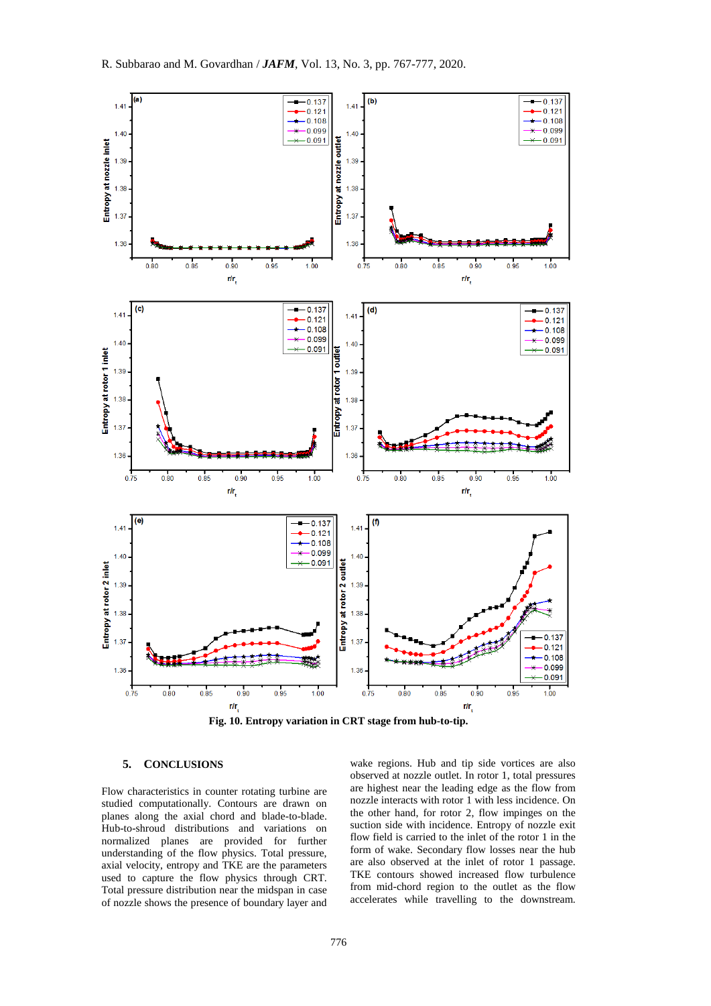

**Fig. 10. Entropy variation in CRT stage from hub-to-tip.**

## **5. CONCLUSIONS**

Flow characteristics in counter rotating turbine are studied computationally. Contours are drawn on planes along the axial chord and blade-to-blade. Hub-to-shroud distributions and variations on normalized planes are provided for further understanding of the flow physics. Total pressure, axial velocity, entropy and TKE are the parameters used to capture the flow physics through CRT. Total pressure distribution near the midspan in case of nozzle shows the presence of boundary layer and

wake regions. Hub and tip side vortices are also observed at nozzle outlet. In rotor 1, total pressures are highest near the leading edge as the flow from nozzle interacts with rotor 1 with less incidence. On the other hand, for rotor 2, flow impinges on the suction side with incidence. Entropy of nozzle exit flow field is carried to the inlet of the rotor 1 in the form of wake. Secondary flow losses near the hub are also observed at the inlet of rotor 1 passage. TKE contours showed increased flow turbulence from mid-chord region to the outlet as the flow accelerates while travelling to the downstream.